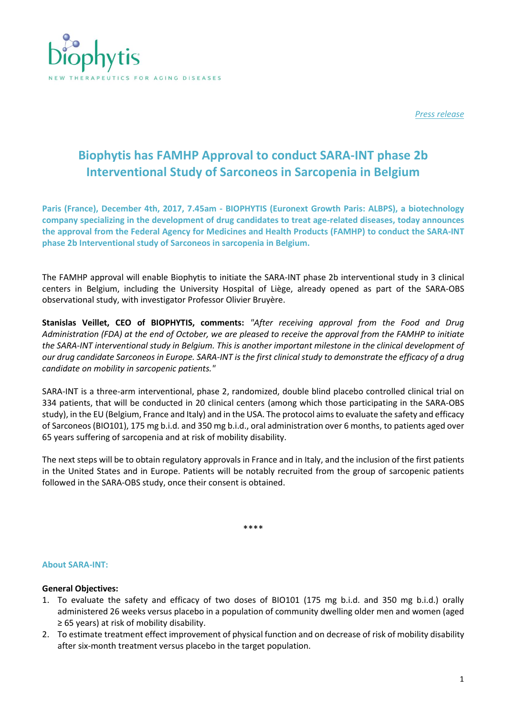

*Press release*

# **Biophytis has FAMHP Approval to conduct SARA-INT phase 2b Interventional Study of Sarconeos in Sarcopenia in Belgium**

**Paris (France), December 4th, 2017, 7.45am - BIOPHYTIS (Euronext Growth Paris: ALBPS), a biotechnology company specializing in the development of drug candidates to treat age-related diseases, today announces the approval from the Federal Agency for Medicines and Health Products (FAMHP) to conduct the SARA-INT phase 2b Interventional study of Sarconeos in sarcopenia in Belgium.** 

The FAMHP approval will enable Biophytis to initiate the SARA-INT phase 2b interventional study in 3 clinical centers in Belgium, including the University Hospital of Liège, already opened as part of the SARA-OBS observational study, with investigator Professor Olivier Bruyère.

**Stanislas Veillet, CEO of BIOPHYTIS, comments:** *"After receiving approval from the Food and Drug Administration (FDA) at the end of October, we are pleased to receive the approval from the FAMHP to initiate the SARA-INT interventional study in Belgium. This is another important milestone in the clinical development of our drug candidate Sarconeos in Europe. SARA-INT is the first clinical study to demonstrate the efficacy of a drug candidate on mobility in sarcopenic patients."*

SARA-INT is a three-arm interventional, phase 2, randomized, double blind placebo controlled clinical trial on 334 patients, that will be conducted in 20 clinical centers (among which those participating in the SARA-OBS study), in the EU (Belgium, France and Italy) and in the USA. The protocol aims to evaluate the safety and efficacy of Sarconeos (BIO101), 175 mg b.i.d. and 350 mg b.i.d., oral administration over 6 months, to patients aged over 65 years suffering of sarcopenia and at risk of mobility disability.

The next steps will be to obtain regulatory approvals in France and in Italy, and the inclusion of the first patients in the United States and in Europe. Patients will be notably recruited from the group of sarcopenic patients followed in the SARA-OBS study, once their consent is obtained.

\*\*\*\*

#### **About SARA-INT:**

#### **General Objectives:**

- 1. To evaluate the safety and efficacy of two doses of BIO101 (175 mg b.i.d. and 350 mg b.i.d.) orally administered 26 weeks versus placebo in a population of community dwelling older men and women (aged ≥ 65 years) at risk of mobility disability.
- 2. To estimate treatment effect improvement of physical function and on decrease of risk of mobility disability after six-month treatment versus placebo in the target population.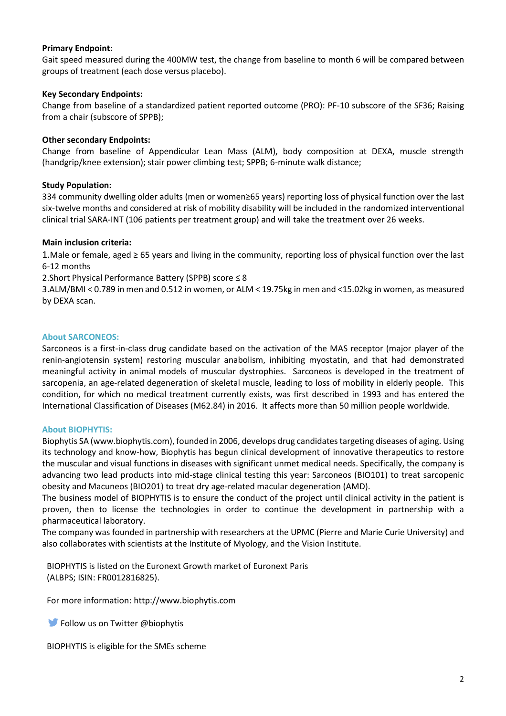#### **Primary Endpoint:**

Gait speed measured during the 400MW test, the change from baseline to month 6 will be compared between groups of treatment (each dose versus placebo).

# **Key Secondary Endpoints:**

Change from baseline of a standardized patient reported outcome (PRO): PF-10 subscore of the SF36; Raising from a chair (subscore of SPPB);

# **Other secondary Endpoints:**

Change from baseline of Appendicular Lean Mass (ALM), body composition at DEXA, muscle strength (handgrip/knee extension); stair power climbing test; SPPB; 6-minute walk distance;

# **Study Population:**

334 community dwelling older adults (men or women≥65 years) reporting loss of physical function over the last six-twelve months and considered at risk of mobility disability will be included in the randomized interventional clinical trial SARA-INT (106 patients per treatment group) and will take the treatment over 26 weeks.

#### **Main inclusion criteria:**

1.Male or female, aged ≥ 65 years and living in the community, reporting loss of physical function over the last 6-12 months

2.Short Physical Performance Battery (SPPB) score ≤ 8

3.ALM/BMI < 0.789 in men and 0.512 in women, or ALM < 19.75kg in men and <15.02kg in women, as measured by DEXA scan.

# **About SARCONEOS:**

Sarconeos is a first-in-class drug candidate based on the activation of the MAS receptor (major player of the renin-angiotensin system) restoring muscular anabolism, inhibiting myostatin, and that had demonstrated meaningful activity in animal models of muscular dystrophies. Sarconeos is developed in the treatment of sarcopenia, an age-related degeneration of skeletal muscle, leading to loss of mobility in elderly people. This condition, for which no medical treatment currently exists, was first described in 1993 and has entered the International Classification of Diseases (M62.84) in 2016. It affects more than 50 million people worldwide.

#### **About BIOPHYTIS:**

Biophytis SA (www.biophytis.com), founded in 2006, develops drug candidates targeting diseases of aging. Using its technology and know-how, Biophytis has begun clinical development of innovative therapeutics to restore the muscular and visual functions in diseases with significant unmet medical needs. Specifically, the company is advancing two lead products into mid-stage clinical testing this year: Sarconeos (BIO101) to treat sarcopenic obesity and Macuneos (BIO201) to treat dry age-related macular degeneration (AMD).

The business model of BIOPHYTIS is to ensure the conduct of the project until clinical activity in the patient is proven, then to license the technologies in order to continue the development in partnership with a pharmaceutical laboratory.

The company was founded in partnership with researchers at the UPMC (Pierre and Marie Curie University) and also collaborates with scientists at the Institute of Myology, and the Vision Institute.

BIOPHYTIS is listed on the Euronext Growth market of Euronext Paris (ALBPS; ISIN: FR0012816825).

For more information: [http://www.biophytis.com](http://www.biophytis.com/)

**Follow us on Twitter @biophytis** 

BIOPHYTIS is eligible for the SMEs scheme